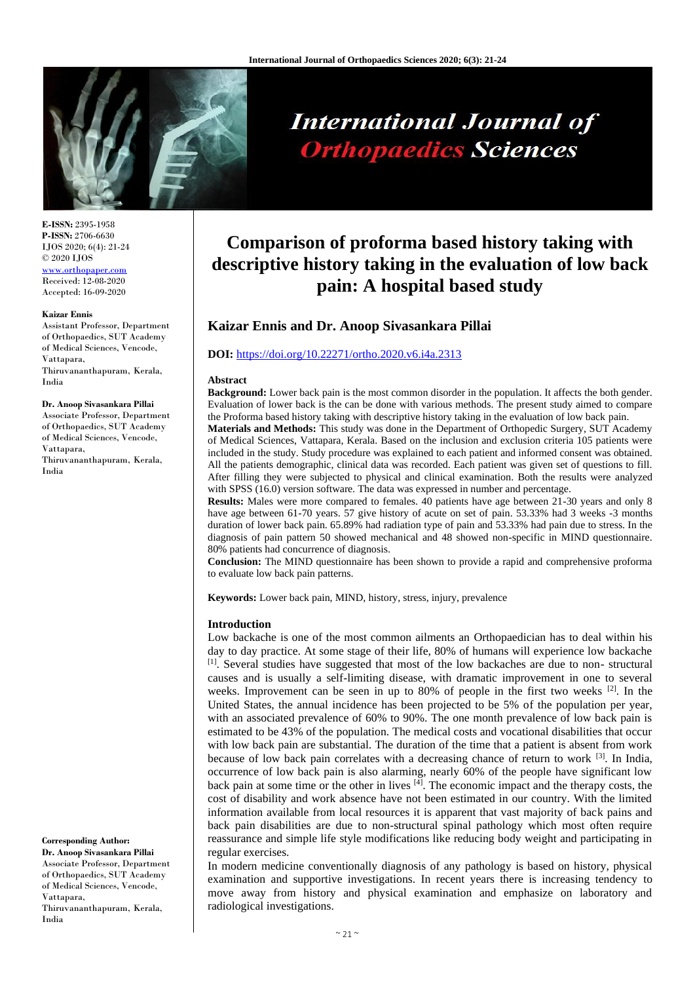

# **International Journal of Orthopaedics Sciences**

**E-ISSN:** 2395-1958 **P-ISSN:** 2706-6630 IJOS 2020; 6(4): 21-24 © 2020 IJOS [www.orthopaper.com](http://www.orthopaper.com/) Received: 12-08-2020 Accepted: 16-09-2020

#### **Kaizar Ennis**

Assistant Professor, Department of Orthopaedics, SUT Academy of Medical Sciences, Vencode, Vattapara, Thiruvananthapuram, Kerala, India

# **Dr. Anoop Sivasankara Pillai**

Associate Professor, Department of Orthopaedics, SUT Academy of Medical Sciences, Vencode, Vattapara, Thiruvananthapuram, Kerala, India

**Corresponding Author: Dr. Anoop Sivasankara Pillai** Associate Professor, Department of Orthopaedics, SUT Academy of Medical Sciences, Vencode, Vattapara, Thiruvananthapuram, Kerala, India

# **Comparison of proforma based history taking with descriptive history taking in the evaluation of low back pain: A hospital based study**

# **Kaizar Ennis and Dr. Anoop Sivasankara Pillai**

# **DOI:** <https://doi.org/10.22271/ortho.2020.v6.i4a.2313>

#### **Abstract**

**Background:** Lower back pain is the most common disorder in the population. It affects the both gender. Evaluation of lower back is the can be done with various methods. The present study aimed to compare the Proforma based history taking with descriptive history taking in the evaluation of low back pain.

**Materials and Methods:** This study was done in the Department of Orthopedic Surgery, SUT Academy of Medical Sciences, Vattapara, Kerala. Based on the inclusion and exclusion criteria 105 patients were included in the study. Study procedure was explained to each patient and informed consent was obtained. All the patients demographic, clinical data was recorded. Each patient was given set of questions to fill. After filling they were subjected to physical and clinical examination. Both the results were analyzed with SPSS (16.0) version software. The data was expressed in number and percentage.

**Results:** Males were more compared to females. 40 patients have age between 21-30 years and only 8 have age between 61-70 years. 57 give history of acute on set of pain. 53.33% had 3 weeks -3 months duration of lower back pain. 65.89% had radiation type of pain and 53.33% had pain due to stress. In the diagnosis of pain pattern 50 showed mechanical and 48 showed non-specific in MIND questionnaire. 80% patients had concurrence of diagnosis.

**Conclusion:** The MIND questionnaire has been shown to provide a rapid and comprehensive proforma to evaluate low back pain patterns.

**Keywords:** Lower back pain, MIND, history, stress, injury, prevalence

### **Introduction**

Low backache is one of the most common ailments an Orthopaedician has to deal within his day to day practice. At some stage of their life, 80% of humans will experience low backache [1]. Several studies have suggested that most of the low backaches are due to non-structural causes and is usually a self-limiting disease, with dramatic improvement in one to several weeks. Improvement can be seen in up to 80% of people in the first two weeks <sup>[2]</sup>. In the United States, the annual incidence has been projected to be 5% of the population per year, with an associated prevalence of 60% to 90%. The one month prevalence of low back pain is estimated to be 43% of the population. The medical costs and vocational disabilities that occur with low back pain are substantial. The duration of the time that a patient is absent from work because of low back pain correlates with a decreasing chance of return to work  $[3]$ . In India, occurrence of low back pain is also alarming, nearly 60% of the people have significant low back pain at some time or the other in lives [4]. The economic impact and the therapy costs, the cost of disability and work absence have not been estimated in our country. With the limited information available from local resources it is apparent that vast majority of back pains and back pain disabilities are due to non-structural spinal pathology which most often require reassurance and simple life style modifications like reducing body weight and participating in regular exercises.

In modern medicine conventionally diagnosis of any pathology is based on history, physical examination and supportive investigations. In recent years there is increasing tendency to move away from history and physical examination and emphasize on laboratory and radiological investigations.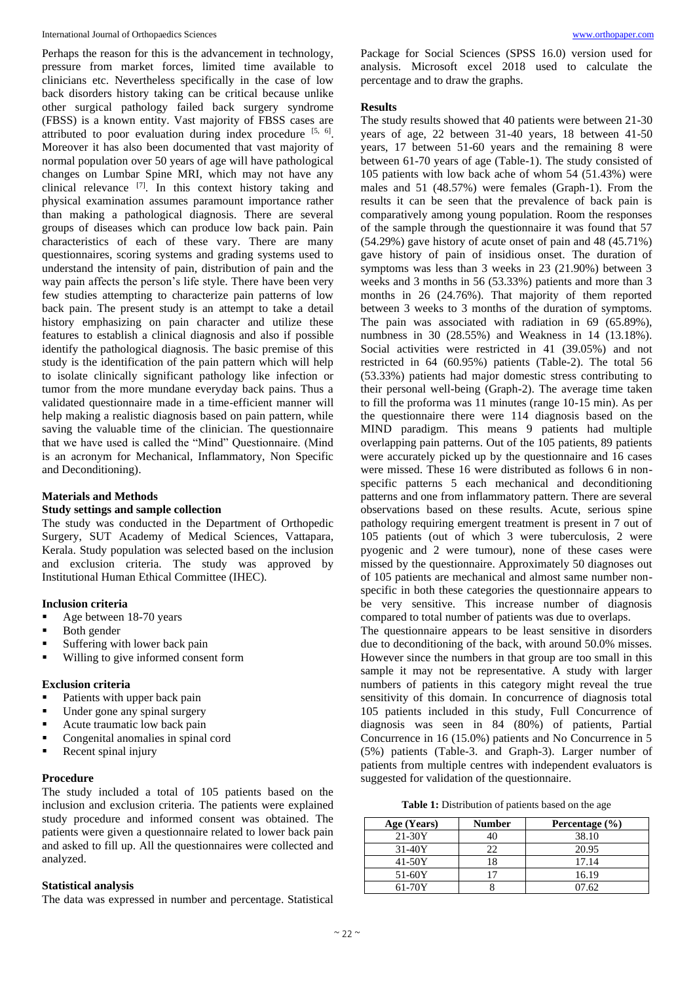Perhaps the reason for this is the advancement in technology, pressure from market forces, limited time available to clinicians etc. Nevertheless specifically in the case of low back disorders history taking can be critical because unlike other surgical pathology failed back surgery syndrome (FBSS) is a known entity. Vast majority of FBSS cases are attributed to poor evaluation during index procedure  $[5, 6]$ . Moreover it has also been documented that vast majority of normal population over 50 years of age will have pathological changes on Lumbar Spine MRI, which may not have any clinical relevance  $^{[7]}$ . In this context history taking and physical examination assumes paramount importance rather than making a pathological diagnosis. There are several groups of diseases which can produce low back pain. Pain characteristics of each of these vary. There are many questionnaires, scoring systems and grading systems used to understand the intensity of pain, distribution of pain and the way pain affects the person's life style. There have been very few studies attempting to characterize pain patterns of low back pain. The present study is an attempt to take a detail history emphasizing on pain character and utilize these features to establish a clinical diagnosis and also if possible identify the pathological diagnosis. The basic premise of this study is the identification of the pain pattern which will help to isolate clinically significant pathology like infection or tumor from the more mundane everyday back pains. Thus a validated questionnaire made in a time-efficient manner will help making a realistic diagnosis based on pain pattern, while saving the valuable time of the clinician. The questionnaire that we have used is called the "Mind" Questionnaire. (Mind is an acronym for Mechanical, Inflammatory, Non Specific and Deconditioning).

# **Materials and Methods**

# **Study settings and sample collection**

The study was conducted in the Department of Orthopedic Surgery, SUT Academy of Medical Sciences, Vattapara, Kerala. Study population was selected based on the inclusion and exclusion criteria. The study was approved by Institutional Human Ethical Committee (IHEC).

# **Inclusion criteria**

- Age between 18-70 years
- Both gender
- Suffering with lower back pain
- Willing to give informed consent form

# **Exclusion criteria**

- Patients with upper back pain
- Under gone any spinal surgery
- Acute traumatic low back pain
- Congenital anomalies in spinal cord
- Recent spinal injury

# **Procedure**

The study included a total of 105 patients based on the inclusion and exclusion criteria. The patients were explained study procedure and informed consent was obtained. The patients were given a questionnaire related to lower back pain and asked to fill up. All the questionnaires were collected and analyzed.

## **Statistical analysis**

The data was expressed in number and percentage. Statistical

Package for Social Sciences (SPSS 16.0) version used for analysis. Microsoft excel 2018 used to calculate the percentage and to draw the graphs.

# **Results**

The study results showed that 40 patients were between 21-30 years of age, 22 between 31-40 years, 18 between 41-50 years, 17 between 51-60 years and the remaining 8 were between 61-70 years of age (Table-1). The study consisted of 105 patients with low back ache of whom 54 (51.43%) were males and 51 (48.57%) were females (Graph-1). From the results it can be seen that the prevalence of back pain is comparatively among young population. Room the responses of the sample through the questionnaire it was found that 57 (54.29%) gave history of acute onset of pain and 48 (45.71%) gave history of pain of insidious onset. The duration of symptoms was less than 3 weeks in 23 (21.90%) between 3 weeks and 3 months in 56 (53.33%) patients and more than 3 months in 26 (24.76%). That majority of them reported between 3 weeks to 3 months of the duration of symptoms. The pain was associated with radiation in 69 (65.89%), numbness in 30 (28.55%) and Weakness in 14 (13.18%). Social activities were restricted in 41 (39.05%) and not restricted in 64 (60.95%) patients (Table-2). The total 56 (53.33%) patients had major domestic stress contributing to their personal well-being (Graph-2). The average time taken to fill the proforma was 11 minutes (range 10-15 min). As per the questionnaire there were 114 diagnosis based on the MIND paradigm. This means 9 patients had multiple overlapping pain patterns. Out of the 105 patients, 89 patients were accurately picked up by the questionnaire and 16 cases were missed. These 16 were distributed as follows 6 in nonspecific patterns 5 each mechanical and deconditioning patterns and one from inflammatory pattern. There are several observations based on these results. Acute, serious spine pathology requiring emergent treatment is present in 7 out of 105 patients (out of which 3 were tuberculosis, 2 were pyogenic and 2 were tumour), none of these cases were missed by the questionnaire. Approximately 50 diagnoses out of 105 patients are mechanical and almost same number nonspecific in both these categories the questionnaire appears to be very sensitive. This increase number of diagnosis compared to total number of patients was due to overlaps.

The questionnaire appears to be least sensitive in disorders due to deconditioning of the back, with around 50.0% misses. However since the numbers in that group are too small in this sample it may not be representative. A study with larger numbers of patients in this category might reveal the true sensitivity of this domain. In concurrence of diagnosis total 105 patients included in this study, Full Concurrence of diagnosis was seen in 84 (80%) of patients, Partial Concurrence in 16 (15.0%) patients and No Concurrence in 5 (5%) patients (Table-3. and Graph-3). Larger number of patients from multiple centres with independent evaluators is suggested for validation of the questionnaire.

**Table 1:** Distribution of patients based on the age

| Age (Years) | Number | Percentage $(\% )$ |  |  |
|-------------|--------|--------------------|--|--|
| $21 - 30Y$  |        | 38.10              |  |  |
| $31-40Y$    | 22     | 20.95              |  |  |
| $41-50Y$    | 18     | 17.14              |  |  |
| $51-60Y$    |        | 16.19              |  |  |
| 61-70Y      |        | 07.62              |  |  |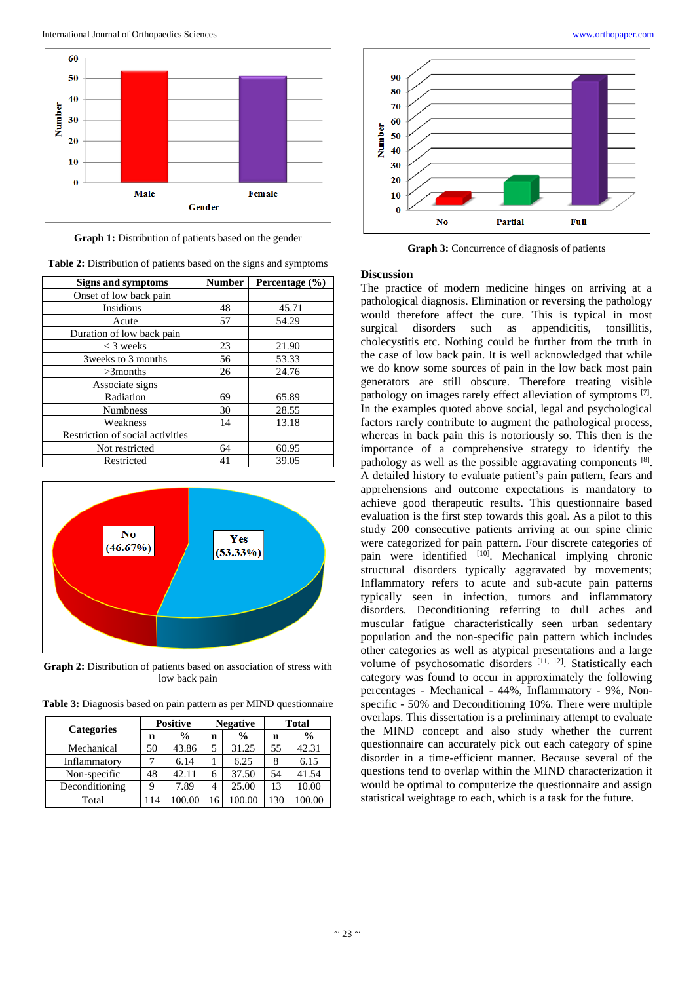

Graph 1: Distribution of patients based on the gender

**Table 2:** Distribution of patients based on the signs and symptoms

| <b>Signs and symptoms</b>        | <b>Number</b> | Percentage (%) |
|----------------------------------|---------------|----------------|
| Onset of low back pain           |               |                |
| Insidious                        | 48            | 45.71          |
| Acute                            | 57            | 54.29          |
| Duration of low back pain        |               |                |
| $<$ 3 weeks                      | 23            | 21.90          |
| 3 weeks to 3 months              | 56            | 53.33          |
| $>3$ months                      | 26            | 24.76          |
| Associate signs                  |               |                |
| Radiation                        | 69            | 65.89          |
| <b>Numbness</b>                  | 30            | 28.55          |
| Weakness                         | 14            | 13.18          |
| Restriction of social activities |               |                |
| Not restricted                   | 64            | 60.95          |
| Restricted                       | 41            | 39.05          |



Graph 2: Distribution of patients based on association of stress with low back pain

| <b>Categories</b> | <b>Positive</b> |               | <b>Negative</b> |               | <b>Total</b> |               |
|-------------------|-----------------|---------------|-----------------|---------------|--------------|---------------|
|                   | n               | $\frac{0}{0}$ | n               | $\frac{0}{0}$ | n            | $\frac{0}{0}$ |
| Mechanical        | 50              | 43.86         | 5               | 31.25         | 55           | 42.31         |
| Inflammatory      |                 | 6.14          |                 | 6.25          | 8            | 6.15          |
| Non-specific      | 48              | 42.11         | 6               | 37.50         | 54           | 41.54         |
| Deconditioning    | Q               | 7.89          | 4               | 25.00         |              | 0.00          |

Total 114 100.00 16 100.00 130 100.00

**Table 3:** Diagnosis based on pain pattern as per MIND questionnaire



**Graph 3:** Concurrence of diagnosis of patients

# **Discussion**

The practice of modern medicine hinges on arriving at a pathological diagnosis. Elimination or reversing the pathology would therefore affect the cure. This is typical in most surgical disorders such as appendicitis, tonsillitis, cholecystitis etc. Nothing could be further from the truth in the case of low back pain. It is well acknowledged that while we do know some sources of pain in the low back most pain generators are still obscure. Therefore treating visible pathology on images rarely effect alleviation of symptoms [7]. In the examples quoted above social, legal and psychological factors rarely contribute to augment the pathological process, whereas in back pain this is notoriously so. This then is the importance of a comprehensive strategy to identify the pathology as well as the possible aggravating components [8]. A detailed history to evaluate patient's pain pattern, fears and apprehensions and outcome expectations is mandatory to achieve good therapeutic results. This questionnaire based evaluation is the first step towards this goal. As a pilot to this study 200 consecutive patients arriving at our spine clinic were categorized for pain pattern. Four discrete categories of pain were identified <sup>[10]</sup>. Mechanical implying chronic structural disorders typically aggravated by movements; Inflammatory refers to acute and sub-acute pain patterns typically seen in infection, tumors and inflammatory disorders. Deconditioning referring to dull aches and muscular fatigue characteristically seen urban sedentary population and the non-specific pain pattern which includes other categories as well as atypical presentations and a large volume of psychosomatic disorders [11, 12]. Statistically each category was found to occur in approximately the following percentages - Mechanical - 44%, Inflammatory - 9%, Nonspecific - 50% and Deconditioning 10%. There were multiple overlaps. This dissertation is a preliminary attempt to evaluate the MIND concept and also study whether the current questionnaire can accurately pick out each category of spine disorder in a time-efficient manner. Because several of the questions tend to overlap within the MIND characterization it would be optimal to computerize the questionnaire and assign statistical weightage to each, which is a task for the future.